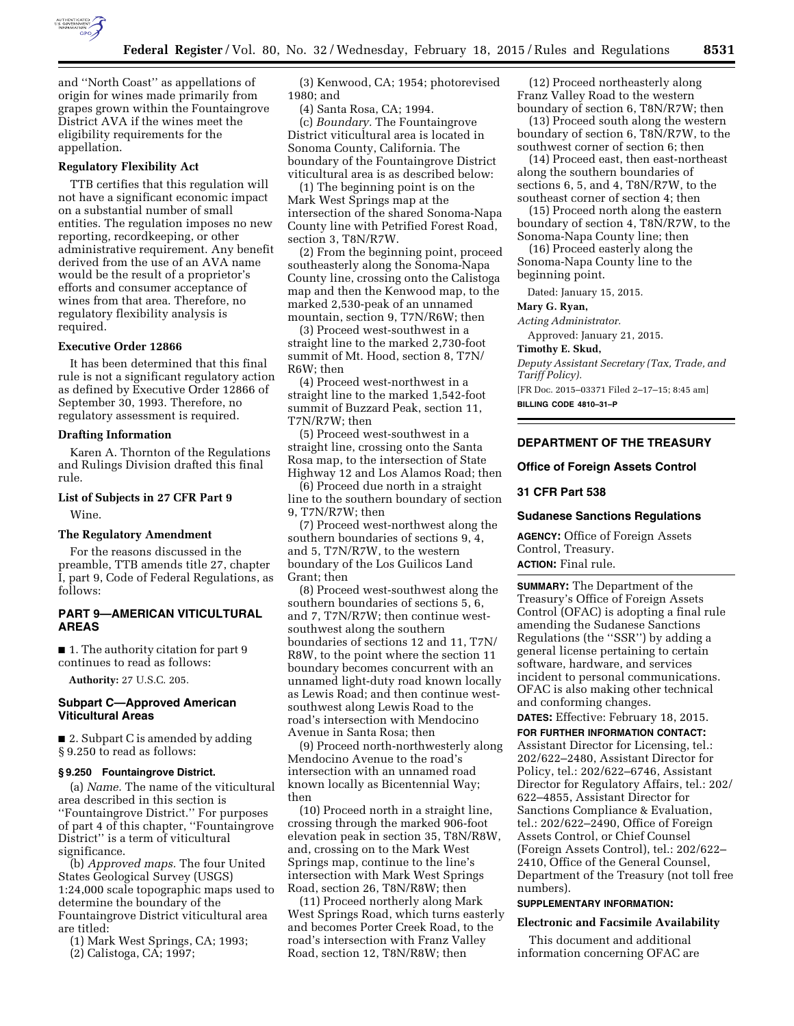

and ''North Coast'' as appellations of origin for wines made primarily from grapes grown within the Fountaingrove District AVA if the wines meet the eligibility requirements for the appellation.

## **Regulatory Flexibility Act**

TTB certifies that this regulation will not have a significant economic impact on a substantial number of small entities. The regulation imposes no new reporting, recordkeeping, or other administrative requirement. Any benefit derived from the use of an AVA name would be the result of a proprietor's efforts and consumer acceptance of wines from that area. Therefore, no regulatory flexibility analysis is required.

#### **Executive Order 12866**

It has been determined that this final rule is not a significant regulatory action as defined by Executive Order 12866 of September 30, 1993. Therefore, no regulatory assessment is required.

#### **Drafting Information**

Karen A. Thornton of the Regulations and Rulings Division drafted this final rule.

# **List of Subjects in 27 CFR Part 9**

Wine.

# **The Regulatory Amendment**

For the reasons discussed in the preamble, TTB amends title 27, chapter I, part 9, Code of Federal Regulations, as follows:

# **PART 9—AMERICAN VITICULTURAL AREAS**

■ 1. The authority citation for part 9 continues to read as follows:

**Authority:** 27 U.S.C. 205.

# **Subpart C—Approved American Viticultural Areas**

■ 2. Subpart C is amended by adding § 9.250 to read as follows:

# **§ 9.250 Fountaingrove District.**

(a) *Name.* The name of the viticultural area described in this section is ''Fountaingrove District.'' For purposes of part 4 of this chapter, ''Fountaingrove District'' is a term of viticultural significance.

(b) *Approved maps.* The four United States Geological Survey (USGS) 1:24,000 scale topographic maps used to determine the boundary of the Fountaingrove District viticultural area are titled:

(1) Mark West Springs, CA; 1993; (2) Calistoga, CA; 1997;

(3) Kenwood, CA; 1954; photorevised 1980; and

(4) Santa Rosa, CA; 1994. (c) *Boundary.* The Fountaingrove District viticultural area is located in Sonoma County, California. The boundary of the Fountaingrove District viticultural area is as described below:

(1) The beginning point is on the Mark West Springs map at the intersection of the shared Sonoma-Napa County line with Petrified Forest Road, section 3, T8N/R7W.

(2) From the beginning point, proceed southeasterly along the Sonoma-Napa County line, crossing onto the Calistoga map and then the Kenwood map, to the marked 2,530-peak of an unnamed mountain, section 9, T7N/R6W; then

(3) Proceed west-southwest in a straight line to the marked 2,730-foot summit of Mt. Hood, section 8, T7N/ R6W; then

(4) Proceed west-northwest in a straight line to the marked 1,542-foot summit of Buzzard Peak, section 11, T7N/R7W; then

(5) Proceed west-southwest in a straight line, crossing onto the Santa Rosa map, to the intersection of State Highway 12 and Los Alamos Road; then

(6) Proceed due north in a straight line to the southern boundary of section 9, T7N/R7W; then

(7) Proceed west-northwest along the southern boundaries of sections 9, 4, and 5, T7N/R7W, to the western boundary of the Los Guilicos Land Grant; then

(8) Proceed west-southwest along the southern boundaries of sections 5, 6, and 7, T7N/R7W; then continue westsouthwest along the southern boundaries of sections 12 and 11, T7N/ R8W, to the point where the section 11 boundary becomes concurrent with an unnamed light-duty road known locally as Lewis Road; and then continue westsouthwest along Lewis Road to the road's intersection with Mendocino Avenue in Santa Rosa; then

(9) Proceed north-northwesterly along Mendocino Avenue to the road's intersection with an unnamed road known locally as Bicentennial Way; then

(10) Proceed north in a straight line, crossing through the marked 906-foot elevation peak in section 35, T8N/R8W, and, crossing on to the Mark West Springs map, continue to the line's intersection with Mark West Springs Road, section 26, T8N/R8W; then

(11) Proceed northerly along Mark West Springs Road, which turns easterly and becomes Porter Creek Road, to the road's intersection with Franz Valley Road, section 12, T8N/R8W; then

(12) Proceed northeasterly along Franz Valley Road to the western boundary of section 6, T8N/R7W; then

(13) Proceed south along the western boundary of section 6, T8N/R7W, to the southwest corner of section 6; then

(14) Proceed east, then east-northeast along the southern boundaries of sections 6, 5, and 4, T8N/R7W, to the southeast corner of section 4; then

(15) Proceed north along the eastern boundary of section 4, T8N/R7W, to the Sonoma-Napa County line; then

(16) Proceed easterly along the Sonoma-Napa County line to the beginning point.

Dated: January 15, 2015.

#### **Mary G. Ryan,**

*Acting Administrator.* 

Approved: January 21, 2015.

**Timothy E. Skud,** 

*Deputy Assistant Secretary (Tax, Trade, and Tariff Policy).* 

[FR Doc. 2015–03371 Filed 2–17–15; 8:45 am] **BILLING CODE 4810–31–P** 

# **DEPARTMENT OF THE TREASURY**

## **Office of Foreign Assets Control**

# **31 CFR Part 538**

#### **Sudanese Sanctions Regulations**

**AGENCY:** Office of Foreign Assets Control, Treasury.

# **ACTION:** Final rule.

**SUMMARY:** The Department of the Treasury's Office of Foreign Assets Control (OFAC) is adopting a final rule amending the Sudanese Sanctions Regulations (the ''SSR'') by adding a general license pertaining to certain software, hardware, and services incident to personal communications. OFAC is also making other technical and conforming changes.

**DATES:** Effective: February 18, 2015. **FOR FURTHER INFORMATION CONTACT:** 

Assistant Director for Licensing, tel.: 202/622–2480, Assistant Director for Policy, tel.: 202/622–6746, Assistant Director for Regulatory Affairs, tel.: 202/ 622–4855, Assistant Director for Sanctions Compliance & Evaluation, tel.: 202/622–2490, Office of Foreign Assets Control, or Chief Counsel (Foreign Assets Control), tel.: 202/622– 2410, Office of the General Counsel, Department of the Treasury (not toll free numbers).

# **SUPPLEMENTARY INFORMATION:**

## **Electronic and Facsimile Availability**

This document and additional information concerning OFAC are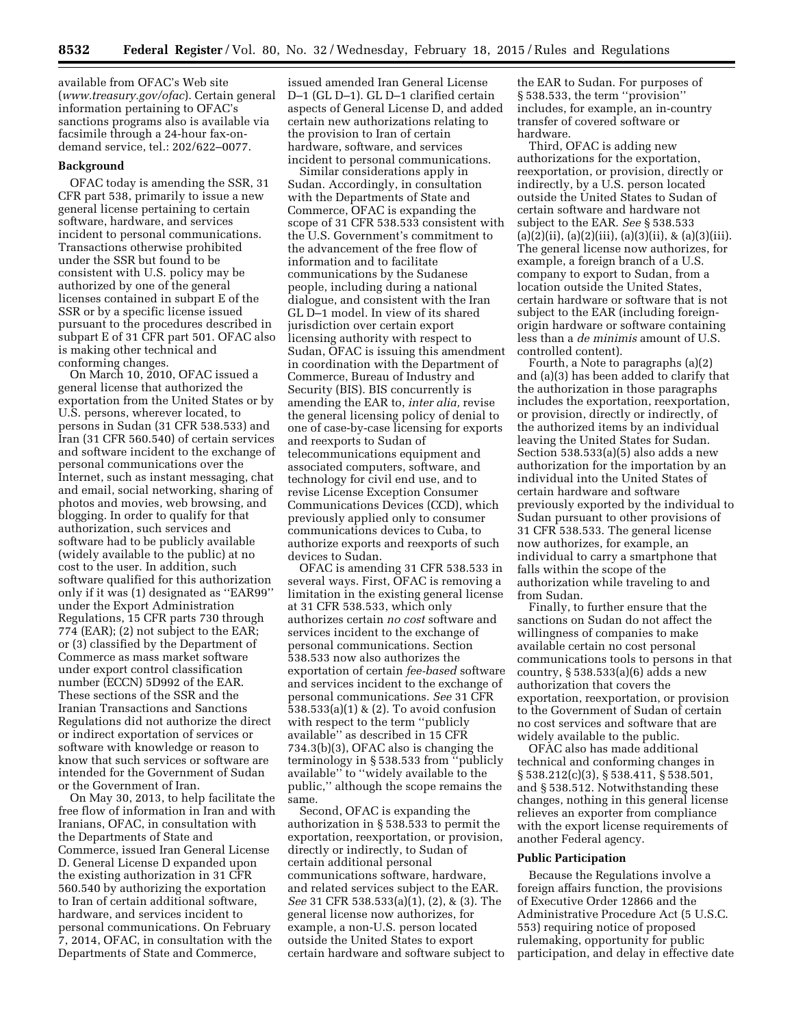available from OFAC's Web site (*[www.treasury.gov/ofac](http://www.treasury.gov/ofac)*). Certain general information pertaining to OFAC's sanctions programs also is available via facsimile through a 24-hour fax-ondemand service, tel.: 202/622–0077.

#### **Background**

OFAC today is amending the SSR, 31 CFR part 538, primarily to issue a new general license pertaining to certain software, hardware, and services incident to personal communications. Transactions otherwise prohibited under the SSR but found to be consistent with U.S. policy may be authorized by one of the general licenses contained in subpart E of the SSR or by a specific license issued pursuant to the procedures described in subpart E of 31 CFR part 501. OFAC also is making other technical and conforming changes.

On March 10, 2010, OFAC issued a general license that authorized the exportation from the United States or by U.S. persons, wherever located, to persons in Sudan (31 CFR 538.533) and Iran (31 CFR 560.540) of certain services and software incident to the exchange of personal communications over the Internet, such as instant messaging, chat and email, social networking, sharing of photos and movies, web browsing, and blogging. In order to qualify for that authorization, such services and software had to be publicly available (widely available to the public) at no cost to the user. In addition, such software qualified for this authorization only if it was (1) designated as ''EAR99'' under the Export Administration Regulations, 15 CFR parts 730 through 774 (EAR); (2) not subject to the EAR; or (3) classified by the Department of Commerce as mass market software under export control classification number (ECCN) 5D992 of the EAR. These sections of the SSR and the Iranian Transactions and Sanctions Regulations did not authorize the direct or indirect exportation of services or software with knowledge or reason to know that such services or software are intended for the Government of Sudan or the Government of Iran.

On May 30, 2013, to help facilitate the free flow of information in Iran and with Iranians, OFAC, in consultation with the Departments of State and Commerce, issued Iran General License D. General License D expanded upon the existing authorization in 31 CFR 560.540 by authorizing the exportation to Iran of certain additional software, hardware, and services incident to personal communications. On February 7, 2014, OFAC, in consultation with the Departments of State and Commerce,

issued amended Iran General License D–1 (GL D–1). GL D–1 clarified certain aspects of General License D, and added certain new authorizations relating to the provision to Iran of certain hardware, software, and services incident to personal communications.

Similar considerations apply in Sudan. Accordingly, in consultation with the Departments of State and Commerce, OFAC is expanding the scope of 31 CFR 538.533 consistent with the U.S. Government's commitment to the advancement of the free flow of information and to facilitate communications by the Sudanese people, including during a national dialogue, and consistent with the Iran GL D–1 model. In view of its shared jurisdiction over certain export licensing authority with respect to Sudan, OFAC is issuing this amendment in coordination with the Department of Commerce, Bureau of Industry and Security (BIS). BIS concurrently is amending the EAR to, *inter alia,* revise the general licensing policy of denial to one of case-by-case licensing for exports and reexports to Sudan of telecommunications equipment and associated computers, software, and technology for civil end use, and to revise License Exception Consumer Communications Devices (CCD), which previously applied only to consumer communications devices to Cuba, to authorize exports and reexports of such devices to Sudan.

OFAC is amending 31 CFR 538.533 in several ways. First, OFAC is removing a limitation in the existing general license at 31 CFR 538.533, which only authorizes certain *no cost* software and services incident to the exchange of personal communications. Section 538.533 now also authorizes the exportation of certain *fee-based* software and services incident to the exchange of personal communications. *See* 31 CFR 538.533(a)(1) & (2). To avoid confusion with respect to the term ''publicly available'' as described in 15 CFR 734.3(b)(3), OFAC also is changing the terminology in § 538.533 from ''publicly available'' to ''widely available to the public,'' although the scope remains the same.

Second, OFAC is expanding the authorization in § 538.533 to permit the exportation, reexportation, or provision, directly or indirectly, to Sudan of certain additional personal communications software, hardware, and related services subject to the EAR. *See* 31 CFR 538.533(a)(1), (2), & (3). The general license now authorizes, for example, a non-U.S. person located outside the United States to export certain hardware and software subject to

the EAR to Sudan. For purposes of § 538.533, the term ''provision'' includes, for example, an in-country transfer of covered software or hardware.

Third, OFAC is adding new authorizations for the exportation, reexportation, or provision, directly or indirectly, by a U.S. person located outside the United States to Sudan of certain software and hardware not subject to the EAR. *See* § 538.533  $(a)(2)(ii)$ ,  $(a)(2)(iii)$ ,  $(a)(3)(ii)$ ,  $\& (a)(3)(iii)$ . The general license now authorizes, for example, a foreign branch of a U.S. company to export to Sudan, from a location outside the United States, certain hardware or software that is not subject to the EAR (including foreignorigin hardware or software containing less than a *de minimis* amount of U.S. controlled content).

Fourth, a Note to paragraphs (a)(2) and (a)(3) has been added to clarify that the authorization in those paragraphs includes the exportation, reexportation, or provision, directly or indirectly, of the authorized items by an individual leaving the United States for Sudan. Section 538.533(a)(5) also adds a new authorization for the importation by an individual into the United States of certain hardware and software previously exported by the individual to Sudan pursuant to other provisions of 31 CFR 538.533. The general license now authorizes, for example, an individual to carry a smartphone that falls within the scope of the authorization while traveling to and from Sudan.

Finally, to further ensure that the sanctions on Sudan do not affect the willingness of companies to make available certain no cost personal communications tools to persons in that country, § 538.533(a)(6) adds a new authorization that covers the exportation, reexportation, or provision to the Government of Sudan of certain no cost services and software that are widely available to the public.

OFAC also has made additional technical and conforming changes in § 538.212(c)(3), § 538.411, § 538.501, and § 538.512. Notwithstanding these changes, nothing in this general license relieves an exporter from compliance with the export license requirements of another Federal agency.

#### **Public Participation**

Because the Regulations involve a foreign affairs function, the provisions of Executive Order 12866 and the Administrative Procedure Act (5 U.S.C. 553) requiring notice of proposed rulemaking, opportunity for public participation, and delay in effective date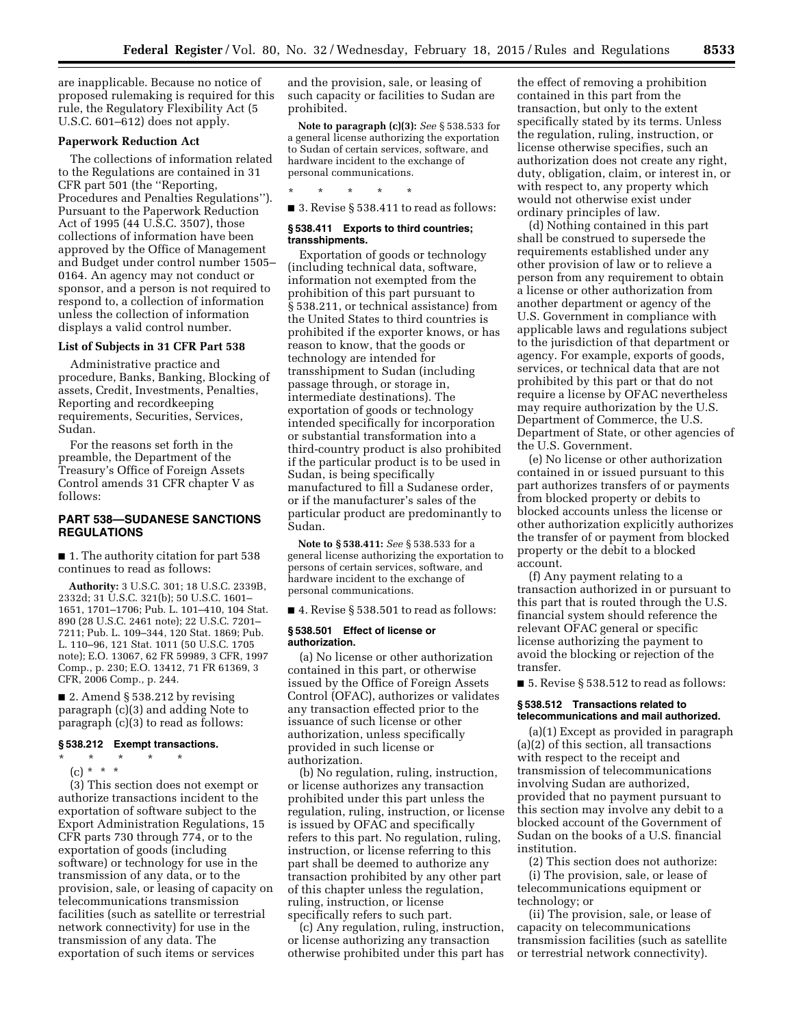are inapplicable. Because no notice of proposed rulemaking is required for this rule, the Regulatory Flexibility Act (5 U.S.C. 601–612) does not apply.

## **Paperwork Reduction Act**

The collections of information related to the Regulations are contained in 31 CFR part 501 (the ''Reporting, Procedures and Penalties Regulations''). Pursuant to the Paperwork Reduction Act of 1995 (44 U.S.C. 3507), those collections of information have been approved by the Office of Management and Budget under control number 1505– 0164. An agency may not conduct or sponsor, and a person is not required to respond to, a collection of information unless the collection of information displays a valid control number.

## **List of Subjects in 31 CFR Part 538**

Administrative practice and procedure, Banks, Banking, Blocking of assets, Credit, Investments, Penalties, Reporting and recordkeeping requirements, Securities, Services, Sudan.

For the reasons set forth in the preamble, the Department of the Treasury's Office of Foreign Assets Control amends 31 CFR chapter V as follows:

# **PART 538—SUDANESE SANCTIONS REGULATIONS**

■ 1. The authority citation for part 538 continues to read as follows:

**Authority:** 3 U.S.C. 301; 18 U.S.C. 2339B, 2332d; 31 U.S.C. 321(b); 50 U.S.C. 1601– 1651, 1701–1706; Pub. L. 101–410, 104 Stat. 890 (28 U.S.C. 2461 note); 22 U.S.C. 7201– 7211; Pub. L. 109–344, 120 Stat. 1869; Pub. L. 110–96, 121 Stat. 1011 (50 U.S.C. 1705 note); E.O. 13067, 62 FR 59989, 3 CFR, 1997 Comp., p. 230; E.O. 13412, 71 FR 61369, 3 CFR, 2006 Comp., p. 244.

■ 2. Amend § 538.212 by revising paragraph (c)(3) and adding Note to paragraph (c)(3) to read as follows:

#### **§ 538.212 Exempt transactions.**

\* \* \* \* \*

(c) \* \* \*

(3) This section does not exempt or authorize transactions incident to the exportation of software subject to the Export Administration Regulations, 15 CFR parts 730 through 774, or to the exportation of goods (including software) or technology for use in the transmission of any data, or to the provision, sale, or leasing of capacity on telecommunications transmission facilities (such as satellite or terrestrial network connectivity) for use in the transmission of any data. The exportation of such items or services

and the provision, sale, or leasing of such capacity or facilities to Sudan are prohibited.

**Note to paragraph (c)(3):** *See* § 538.533 for a general license authorizing the exportation to Sudan of certain services, software, and hardware incident to the exchange of personal communications.

\* \* \* \* \*

■ 3. Revise § 538.411 to read as follows:

## **§ 538.411 Exports to third countries; transshipments.**

Exportation of goods or technology (including technical data, software, information not exempted from the prohibition of this part pursuant to § 538.211, or technical assistance) from the United States to third countries is prohibited if the exporter knows, or has reason to know, that the goods or technology are intended for transshipment to Sudan (including passage through, or storage in, intermediate destinations). The exportation of goods or technology intended specifically for incorporation or substantial transformation into a third-country product is also prohibited if the particular product is to be used in Sudan, is being specifically manufactured to fill a Sudanese order, or if the manufacturer's sales of the particular product are predominantly to Sudan.

**Note to § 538.411:** *See* § 538.533 for a general license authorizing the exportation to persons of certain services, software, and hardware incident to the exchange of personal communications.

■ 4. Revise § 538.501 to read as follows:

## **§ 538.501 Effect of license or authorization.**

(a) No license or other authorization contained in this part, or otherwise issued by the Office of Foreign Assets Control (OFAC), authorizes or validates any transaction effected prior to the issuance of such license or other authorization, unless specifically provided in such license or authorization.

(b) No regulation, ruling, instruction, or license authorizes any transaction prohibited under this part unless the regulation, ruling, instruction, or license is issued by OFAC and specifically refers to this part. No regulation, ruling, instruction, or license referring to this part shall be deemed to authorize any transaction prohibited by any other part of this chapter unless the regulation, ruling, instruction, or license specifically refers to such part.

(c) Any regulation, ruling, instruction, or license authorizing any transaction otherwise prohibited under this part has

the effect of removing a prohibition contained in this part from the transaction, but only to the extent specifically stated by its terms. Unless the regulation, ruling, instruction, or license otherwise specifies, such an authorization does not create any right, duty, obligation, claim, or interest in, or with respect to, any property which would not otherwise exist under ordinary principles of law.

(d) Nothing contained in this part shall be construed to supersede the requirements established under any other provision of law or to relieve a person from any requirement to obtain a license or other authorization from another department or agency of the U.S. Government in compliance with applicable laws and regulations subject to the jurisdiction of that department or agency. For example, exports of goods, services, or technical data that are not prohibited by this part or that do not require a license by OFAC nevertheless may require authorization by the U.S. Department of Commerce, the U.S. Department of State, or other agencies of the U.S. Government.

(e) No license or other authorization contained in or issued pursuant to this part authorizes transfers of or payments from blocked property or debits to blocked accounts unless the license or other authorization explicitly authorizes the transfer of or payment from blocked property or the debit to a blocked account.

(f) Any payment relating to a transaction authorized in or pursuant to this part that is routed through the U.S. financial system should reference the relevant OFAC general or specific license authorizing the payment to avoid the blocking or rejection of the transfer.

■ 5. Revise § 538.512 to read as follows:

## **§ 538.512 Transactions related to telecommunications and mail authorized.**

(a)(1) Except as provided in paragraph (a)(2) of this section, all transactions with respect to the receipt and transmission of telecommunications involving Sudan are authorized, provided that no payment pursuant to this section may involve any debit to a blocked account of the Government of Sudan on the books of a U.S. financial institution.

(2) This section does not authorize: (i) The provision, sale, or lease of telecommunications equipment or technology; or

(ii) The provision, sale, or lease of capacity on telecommunications transmission facilities (such as satellite or terrestrial network connectivity).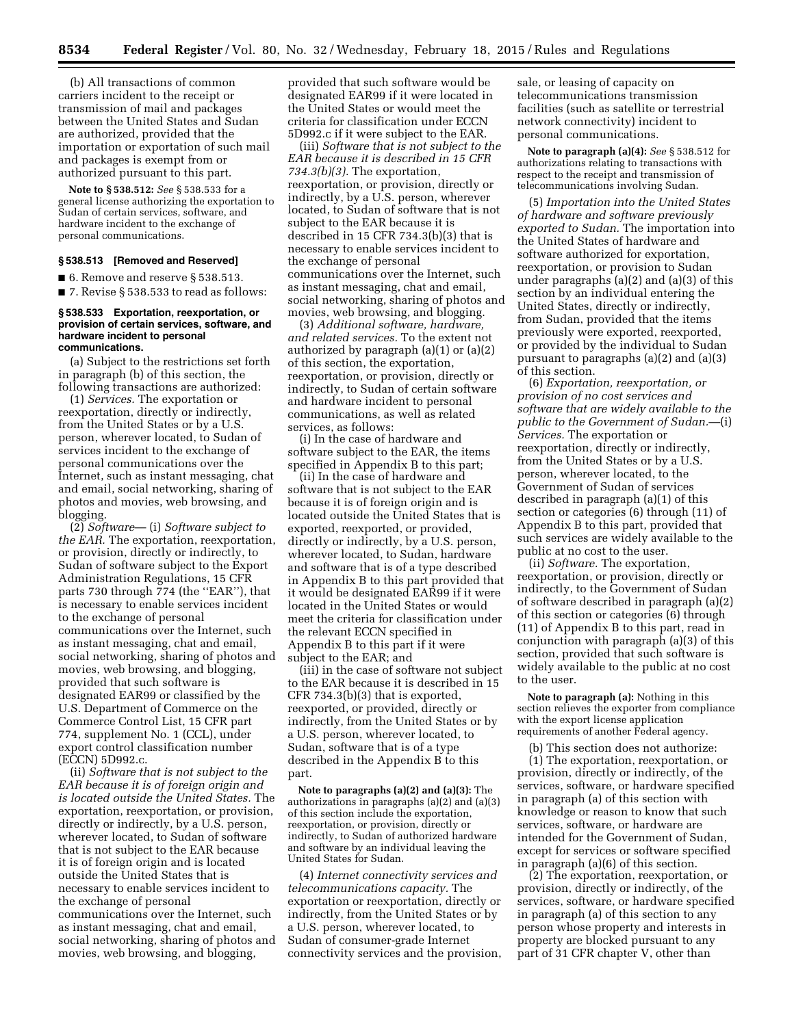(b) All transactions of common carriers incident to the receipt or transmission of mail and packages between the United States and Sudan are authorized, provided that the importation or exportation of such mail and packages is exempt from or authorized pursuant to this part.

**Note to § 538.512:** *See* § 538.533 for a general license authorizing the exportation to Sudan of certain services, software, and hardware incident to the exchange of personal communications.

## **§ 538.513 [Removed and Reserved]**

■ 6. Remove and reserve § 538.513.

■ 7. Revise § 538.533 to read as follows:

#### **§ 538.533 Exportation, reexportation, or provision of certain services, software, and hardware incident to personal communications.**

(a) Subject to the restrictions set forth in paragraph (b) of this section, the following transactions are authorized:

(1) *Services.* The exportation or reexportation, directly or indirectly, from the United States or by a U.S. person, wherever located, to Sudan of services incident to the exchange of personal communications over the Internet, such as instant messaging, chat and email, social networking, sharing of photos and movies, web browsing, and blogging.

(2) *Software*— (i) *Software subject to the EAR.* The exportation, reexportation, or provision, directly or indirectly, to Sudan of software subject to the Export Administration Regulations, 15 CFR parts 730 through 774 (the ''EAR''), that is necessary to enable services incident to the exchange of personal communications over the Internet, such as instant messaging, chat and email, social networking, sharing of photos and movies, web browsing, and blogging, provided that such software is designated EAR99 or classified by the U.S. Department of Commerce on the Commerce Control List, 15 CFR part 774, supplement No. 1 (CCL), under export control classification number (ECCN) 5D992.c.

(ii) *Software that is not subject to the EAR because it is of foreign origin and is located outside the United States.* The exportation, reexportation, or provision, directly or indirectly, by a U.S. person, wherever located, to Sudan of software that is not subject to the EAR because it is of foreign origin and is located outside the United States that is necessary to enable services incident to the exchange of personal communications over the Internet, such as instant messaging, chat and email, social networking, sharing of photos and movies, web browsing, and blogging,

provided that such software would be designated EAR99 if it were located in the United States or would meet the criteria for classification under ECCN 5D992.c if it were subject to the EAR.

(iii) *Software that is not subject to the EAR because it is described in 15 CFR 734.3(b)(3).* The exportation, reexportation, or provision, directly or indirectly, by a U.S. person, wherever located, to Sudan of software that is not subject to the EAR because it is described in 15 CFR 734.3(b)(3) that is necessary to enable services incident to the exchange of personal communications over the Internet, such as instant messaging, chat and email, social networking, sharing of photos and movies, web browsing, and blogging.

(3) *Additional software, hardware, and related services.* To the extent not authorized by paragraph (a)(1) or (a)(2) of this section, the exportation, reexportation, or provision, directly or indirectly, to Sudan of certain software and hardware incident to personal communications, as well as related services, as follows:

(i) In the case of hardware and software subject to the EAR, the items specified in Appendix B to this part;

(ii) In the case of hardware and software that is not subject to the EAR because it is of foreign origin and is located outside the United States that is exported, reexported, or provided, directly or indirectly, by a U.S. person, wherever located, to Sudan, hardware and software that is of a type described in Appendix B to this part provided that it would be designated EAR99 if it were located in the United States or would meet the criteria for classification under the relevant ECCN specified in Appendix B to this part if it were subject to the EAR; and

(iii) in the case of software not subject to the EAR because it is described in 15 CFR 734.3(b)(3) that is exported, reexported, or provided, directly or indirectly, from the United States or by a U.S. person, wherever located, to Sudan, software that is of a type described in the Appendix B to this part.

**Note to paragraphs (a)(2) and (a)(3):** The authorizations in paragraphs (a)(2) and (a)(3) of this section include the exportation, reexportation, or provision, directly or indirectly, to Sudan of authorized hardware and software by an individual leaving the United States for Sudan.

(4) *Internet connectivity services and telecommunications capacity.* The exportation or reexportation, directly or indirectly, from the United States or by a U.S. person, wherever located, to Sudan of consumer-grade Internet connectivity services and the provision,

sale, or leasing of capacity on telecommunications transmission facilities (such as satellite or terrestrial network connectivity) incident to personal communications.

**Note to paragraph (a)(4):** *See* § 538.512 for authorizations relating to transactions with respect to the receipt and transmission of telecommunications involving Sudan.

(5) *Importation into the United States of hardware and software previously exported to Sudan.* The importation into the United States of hardware and software authorized for exportation, reexportation, or provision to Sudan under paragraphs (a)(2) and (a)(3) of this section by an individual entering the United States, directly or indirectly, from Sudan, provided that the items previously were exported, reexported, or provided by the individual to Sudan pursuant to paragraphs (a)(2) and (a)(3) of this section.

(6) *Exportation, reexportation, or provision of no cost services and software that are widely available to the public to the Government of Sudan.*—(i) *Services.* The exportation or reexportation, directly or indirectly, from the United States or by a U.S. person, wherever located, to the Government of Sudan of services described in paragraph (a)(1) of this section or categories (6) through (11) of Appendix B to this part, provided that such services are widely available to the public at no cost to the user.

(ii) *Software.* The exportation, reexportation, or provision, directly or indirectly, to the Government of Sudan of software described in paragraph (a)(2) of this section or categories (6) through (11) of Appendix B to this part, read in conjunction with paragraph (a)(3) of this section, provided that such software is widely available to the public at no cost to the user.

**Note to paragraph (a):** Nothing in this section relieves the exporter from compliance with the export license application requirements of another Federal agency.

(b) This section does not authorize: (1) The exportation, reexportation, or provision, directly or indirectly, of the services, software, or hardware specified in paragraph (a) of this section with knowledge or reason to know that such services, software, or hardware are intended for the Government of Sudan, except for services or software specified in paragraph (a)(6) of this section.

(2) The exportation, reexportation, or provision, directly or indirectly, of the services, software, or hardware specified in paragraph (a) of this section to any person whose property and interests in property are blocked pursuant to any part of 31 CFR chapter V, other than